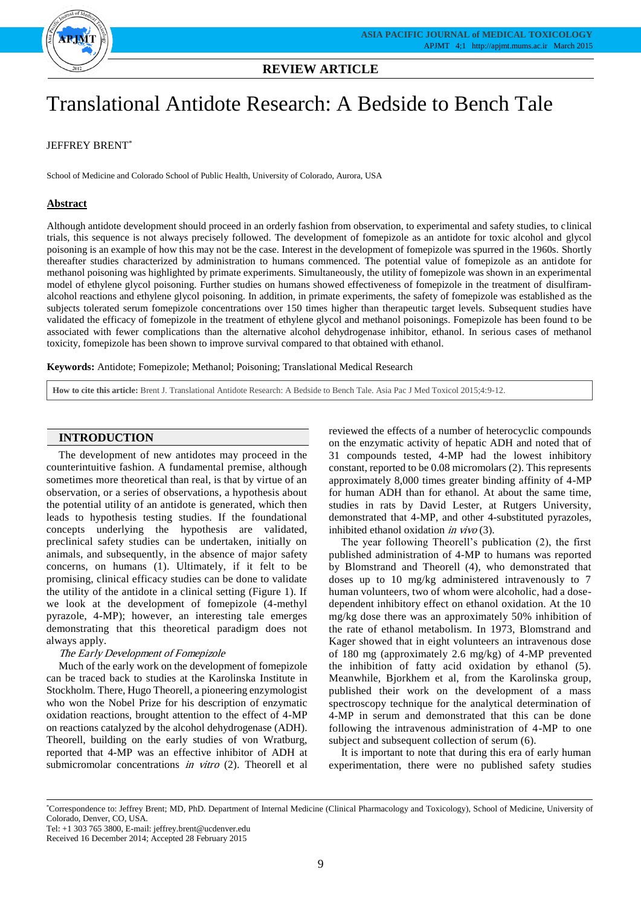

# Translational Antidote Research: A Bedside to Bench Tale

# JEFFREY BRENT\*

School of Medicine and Colorado School of Public Health, University of Colorado, Aurora, USA

# **Abstract**

Although antidote development should proceed in an orderly fashion from observation, to experimental and safety studies, to clinical trials, this sequence is not always precisely followed. The development of fomepizole as an antidote for toxic alcohol and glycol poisoning is an example of how this may not be the case. Interest in the development of fomepizole was spurred in the 1960s. Shortly thereafter studies characterized by administration to humans commenced. The potential value of fomepizole as an antidote for methanol poisoning was highlighted by primate experiments. Simultaneously, the utility of fomepizole was shown in an experimental model of ethylene glycol poisoning. Further studies on humans showed effectiveness of fomepizole in the treatment of disulfiramalcohol reactions and ethylene glycol poisoning. In addition, in primate experiments, the safety of fomepizole was established as the subjects tolerated serum fomepizole concentrations over 150 times higher than therapeutic target levels. Subsequent studies have validated the efficacy of fomepizole in the treatment of ethylene glycol and methanol poisonings. Fomepizole has been found to be associated with fewer complications than the alternative alcohol dehydrogenase inhibitor, ethanol. In serious cases of methanol toxicity, fomepizole has been shown to improve survival compared to that obtained with ethanol.

**Keywords:** Antidote; Fomepizole; Methanol; Poisoning; Translational Medical Research

**How to cite this article:** Brent J. Translational Antidote Research: A Bedside to Bench Tale. Asia Pac J Med Toxicol 2015;4:9-12.

## **INTRODUCTION**

The development of new antidotes may proceed in the counterintuitive fashion. A fundamental premise, although sometimes more theoretical than real, is that by virtue of an observation, or a series of observations, a hypothesis about the potential utility of an antidote is generated, which then leads to hypothesis testing studies. If the foundational concepts underlying the hypothesis are validated, preclinical safety studies can be undertaken, initially on animals, and subsequently, in the absence of major safety concerns, on humans (1). Ultimately, if it felt to be promising, clinical efficacy studies can be done to validate the utility of the antidote in a clinical setting (Figure 1). If we look at the development of fomepizole (4-methyl pyrazole, 4-MP); however, an interesting tale emerges demonstrating that this theoretical paradigm does not always apply.

#### The Early Development of Fomepizole

Much of the early work on the development of fomepizole can be traced back to studies at the Karolinska Institute in Stockholm. There, Hugo Theorell, a pioneering enzymologist who won the Nobel Prize for his description of enzymatic oxidation reactions, brought attention to the effect of 4-MP on reactions catalyzed by the alcohol dehydrogenase (ADH). Theorell, building on the early studies of von Wratburg, reported that 4-MP was an effective inhibitor of ADH at submicromolar concentrations in vitro (2). Theorell et all

reviewed the effects of a number of heterocyclic compounds on the enzymatic activity of hepatic ADH and noted that of 31 compounds tested, 4-MP had the lowest inhibitory constant, reported to be 0.08 micromolars (2). This represents approximately 8,000 times greater binding affinity of 4-MP for human ADH than for ethanol. At about the same time, studies in rats by David Lester, at Rutgers University, demonstrated that 4-MP, and other 4-substituted pyrazoles, inhibited ethanol oxidation in vivo (3).

The year following Theorell's publication (2), the first published administration of 4-MP to humans was reported by Blomstrand and Theorell (4), who demonstrated that doses up to 10 mg/kg administered intravenously to 7 human volunteers, two of whom were alcoholic, had a dosedependent inhibitory effect on ethanol oxidation. At the 10 mg/kg dose there was an approximately 50% inhibition of the rate of ethanol metabolism. In 1973, Blomstrand and Kager showed that in eight volunteers an intravenous dose of 180 mg (approximately 2.6 mg/kg) of 4-MP prevented the inhibition of fatty acid oxidation by ethanol (5). Meanwhile, Bjorkhem et al, from the Karolinska group, published their work on the development of a mass spectroscopy technique for the analytical determination of 4-MP in serum and demonstrated that this can be done following the intravenous administration of 4-MP to one subject and subsequent collection of serum (6).

It is important to note that during this era of early human experimentation, there were no published safety studies

<sup>\*</sup>Correspondence to: Jeffrey Brent; MD, PhD. Department of Internal Medicine (Clinical Pharmacology and Toxicology), School of Medicine, University of Colorado, Denver, CO, USA.

Tel: +1 303 765 3800, E-mail: jeffrey.brent@ucdenver.edu

Received 16 December 2014; Accepted 28 February 2015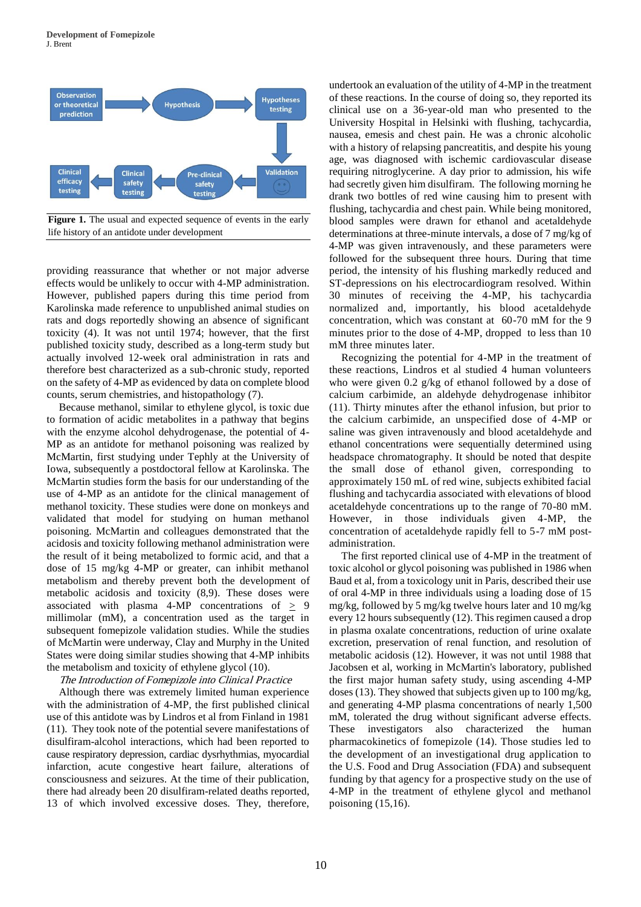

**Figure 1.** The usual and expected sequence of events in the early life history of an antidote under development

providing reassurance that whether or not major adverse effects would be unlikely to occur with 4-MP administration. However, published papers during this time period from Karolinska made reference to unpublished animal studies on rats and dogs reportedly showing an absence of significant toxicity (4). It was not until 1974; however, that the first published toxicity study, described as a long-term study but actually involved 12-week oral administration in rats and therefore best characterized as a sub-chronic study, reported on the safety of 4-MP as evidenced by data on complete blood counts, serum chemistries, and histopathology (7).

Because methanol, similar to ethylene glycol, is toxic due to formation of acidic metabolites in a pathway that begins with the enzyme alcohol dehydrogenase, the potential of 4- MP as an antidote for methanol poisoning was realized by McMartin, first studying under Tephly at the University of Iowa, subsequently a postdoctoral fellow at Karolinska. The McMartin studies form the basis for our understanding of the use of 4-MP as an antidote for the clinical management of methanol toxicity. These studies were done on monkeys and validated that model for studying on human methanol poisoning. McMartin and colleagues demonstrated that the acidosis and toxicity following methanol administration were the result of it being metabolized to formic acid, and that a dose of 15 mg/kg 4-MP or greater, can inhibit methanol metabolism and thereby prevent both the development of metabolic acidosis and toxicity (8,9). These doses were associated with plasma 4-MP concentrations of  $\geq$  9 millimolar (mM), a concentration used as the target in subsequent fomepizole validation studies. While the studies of McMartin were underway, Clay and Murphy in the United States were doing similar studies showing that 4-MP inhibits the metabolism and toxicity of ethylene glycol (10).

#### The Introduction of Fomepizole into Clinical Practice

Although there was extremely limited human experience with the administration of 4-MP, the first published clinical use of this antidote was by Lindros et al from Finland in 1981 (11). They took note of the potential severe manifestations of disulfiram-alcohol interactions, which had been reported to cause respiratory depression, cardiac dysrhythmias, myocardial infarction, acute congestive heart failure, alterations of consciousness and seizures. At the time of their publication, there had already been 20 disulfiram-related deaths reported, 13 of which involved excessive doses. They, therefore, undertook an evaluation of the utility of 4-MP in the treatment of these reactions. In the course of doing so, they reported its clinical use on a 36-year-old man who presented to the University Hospital in Helsinki with flushing, tachycardia, nausea, emesis and chest pain. He was a chronic alcoholic with a history of relapsing pancreatitis, and despite his young age, was diagnosed with ischemic cardiovascular disease requiring nitroglycerine. A day prior to admission, his wife had secretly given him disulfiram. The following morning he drank two bottles of red wine causing him to present with flushing, tachycardia and chest pain. While being monitored, blood samples were drawn for ethanol and acetaldehyde determinations at three-minute intervals, a dose of 7 mg/kg of 4-MP was given intravenously, and these parameters were followed for the subsequent three hours. During that time period, the intensity of his flushing markedly reduced and ST-depressions on his electrocardiogram resolved. Within 30 minutes of receiving the 4-MP, his tachycardia normalized and, importantly, his blood acetaldehyde concentration, which was constant at 60-70 mM for the 9 minutes prior to the dose of 4-MP, dropped to less than 10 mM three minutes later.

Recognizing the potential for 4-MP in the treatment of these reactions, Lindros et al studied 4 human volunteers who were given 0.2 g/kg of ethanol followed by a dose of calcium carbimide, an aldehyde dehydrogenase inhibitor (11). Thirty minutes after the ethanol infusion, but prior to the calcium carbimide, an unspecified dose of 4-MP or saline was given intravenously and blood acetaldehyde and ethanol concentrations were sequentially determined using headspace chromatography. It should be noted that despite the small dose of ethanol given, corresponding to approximately 150 mL of red wine, subjects exhibited facial flushing and tachycardia associated with elevations of blood acetaldehyde concentrations up to the range of 70-80 mM. However, in those individuals given 4-MP, the concentration of acetaldehyde rapidly fell to 5-7 mM postadministration.

The first reported clinical use of 4-MP in the treatment of toxic alcohol or glycol poisoning was published in 1986 when Baud et al, from a toxicology unit in Paris, described their use of oral 4-MP in three individuals using a loading dose of 15 mg/kg, followed by 5 mg/kg twelve hours later and 10 mg/kg every 12 hours subsequently (12). This regimen caused a drop in plasma oxalate concentrations, reduction of urine oxalate excretion, preservation of renal function, and resolution of metabolic acidosis (12). However, it was not until 1988 that Jacobsen et al, working in McMartin's laboratory, published the first major human safety study, using ascending 4-MP doses (13). They showed that subjects given up to 100 mg/kg, and generating 4-MP plasma concentrations of nearly 1,500 mM, tolerated the drug without significant adverse effects. These investigators also characterized the human pharmacokinetics of fomepizole (14). Those studies led to the development of an investigational drug application to the U.S. Food and Drug Association (FDA) and subsequent funding by that agency for a prospective study on the use of 4-MP in the treatment of ethylene glycol and methanol poisoning (15,16).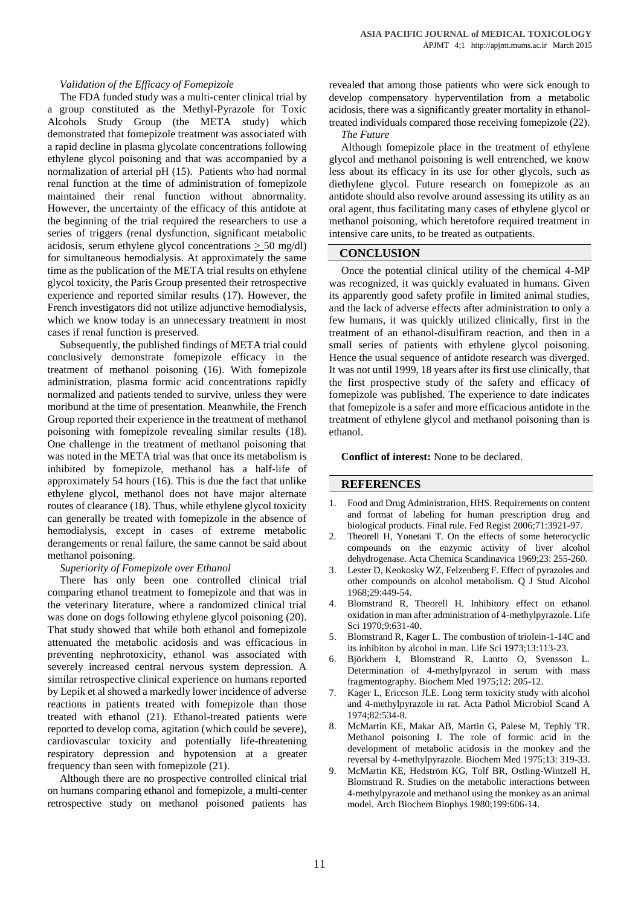### *Validation of the Efficacy of Fomepizole*

The FDA funded study was a multi-center clinical trial by a group constituted as the Methyl-Pyrazole for Toxic Alcohols Study Group (the META study) which demonstrated that fomepizole treatment was associated with a rapid decline in plasma glycolate concentrations following ethylene glycol poisoning and that was accompanied by a normalization of arterial pH (15). Patients who had normal renal function at the time of administration of fomepizole maintained their renal function without abnormality. However, the uncertainty of the efficacy of this antidote at the beginning of the trial required the researchers to use a series of triggers (renal dysfunction, significant metabolic acidosis, serum ethylene glycol concentrations  $\geq$  50 mg/dl) for simultaneous hemodialysis. At approximately the same time as the publication of the META trial results on ethylene glycol toxicity, the Paris Group presented their retrospective experience and reported similar results (17). However, the French investigators did not utilize adjunctive hemodialysis, which we know today is an unnecessary treatment in most cases if renal function is preserved.

Subsequently, the published findings of META trial could conclusively demonstrate fomepizole efficacy in the treatment of methanol poisoning (16). With fomepizole administration, plasma formic acid concentrations rapidly normalized and patients tended to survive, unless they were moribund at the time of presentation. Meanwhile, the French Group reported their experience in the treatment of methanol poisoning with fomepizole revealing similar results (18). One challenge in the treatment of methanol poisoning that was noted in the META trial was that once its metabolism is inhibited by fomepizole, methanol has a half-life of approximately 54 hours (16). This is due the fact that unlike ethylene glycol, methanol does not have major alternate routes of clearance (18). Thus, while ethylene glycol toxicity can generally be treated with fomepizole in the absence of hemodialysis, except in cases of extreme metabolic derangements or renal failure, the same cannot be said about methanol poisoning.

#### *Superiority of Fomepizole over Ethanol*

There has only been one controlled clinical trial comparing ethanol treatment to fomepizole and that was in the veterinary literature, where a randomized clinical trial was done on dogs following ethylene glycol poisoning (20). That study showed that while both ethanol and fomepizole attenuated the metabolic acidosis and was efficacious in preventing nephrotoxicity, ethanol was associated with severely increased central nervous system depression. A similar retrospective clinical experience on humans reported by Lepik et al showed a markedly lower incidence of adverse reactions in patients treated with fomepizole than those treated with ethanol (21). Ethanol-treated patients were reported to develop coma, agitation (which could be severe), cardiovascular toxicity and potentially life-threatening respiratory depression and hypotension at a greater frequency than seen with fomepizole (21).

Although there are no prospective controlled clinical trial on humans comparing ethanol and fomepizole, a multi-center retrospective study on methanol poisoned patients has revealed that among those patients who were sick enough to develop compensatory hyperventilation from a metabolic acidosis, there was a significantly greater mortality in ethanoltreated individuals compared those receiving fomepizole (22).

#### *The Future*

Although fomepizole place in the treatment of ethylene glycol and methanol poisoning is well entrenched, we know less about its efficacy in its use for other glycols, such as diethylene glycol. Future research on fomepizole as an antidote should also revolve around assessing its utility as an oral agent, thus facilitating many cases of ethylene glycol or methanol poisoning, which heretofore required treatment in intensive care units, to be treated as outpatients.

#### **CONCLUSION**

Once the potential clinical utility of the chemical 4-MP was recognized, it was quickly evaluated in humans. Given its apparently good safety profile in limited animal studies, and the lack of adverse effects after administration to only a few humans, it was quickly utilized clinically, first in the treatment of an ethanol-disulfiram reaction, and then in a small series of patients with ethylene glycol poisoning. Hence the usual sequence of antidote research was diverged. It was not until 1999, 18 years after its first use clinically, that the first prospective study of the safety and efficacy of fomepizole was published. The experience to date indicates that fomepizole is a safer and more efficacious antidote in the treatment of ethylene glycol and methanol poisoning than is ethanol.

**Conflict of interest:** None to be declared.

## **REFERENCES**

- 1. Food and Drug Administration, HHS. Requirements on content and format of labeling for human prescription drug and biological products. Final rule. Fed Regist 2006;71:3921-97.
- 2. Theorell H, Yonetani T. On the effects of some heterocyclic compounds on the enzymic activity of liver alcohol dehydrogenase. Acta Chemica Scandinavica 1969;23: 255-260.
- 3. Lester D, Keokosky WZ, Felzenberg F. Effect of pyrazoles and other compounds on alcohol metabolism. Q J Stud Alcohol 1968;29:449-54.
- 4. Blomstrand R, Theorell H. Inhibitory effect on ethanol oxidation in man after administration of 4-methylpyrazole. Life Sci 1970;9:631-40.
- 5. Blomstrand R, Kager L. The combustion of triolein-1-14C and its inhibiton by alcohol in man. Life Sci 1973;13:113-23.
- 6. Björkhem I, Blomstrand R, Lantto O, Svensson L. Determination of 4-methylpyrazol in serum with mass fragmentography. Biochem Med 1975;12: 205-12.
- 7. Kager L, Ericcson JLE. Long term toxicity study with alcohol and 4-methylpyrazole in rat. Acta Pathol Microbiol Scand A 1974;82:534-8.
- 8. McMartin KE, Makar AB, Martin G, Palese M, Tephly TR. Methanol poisoning I. The role of formic acid in the development of metabolic acidosis in the monkey and the reversal by 4-methylpyrazole. Biochem Med 1975;13: 319-33.
- 9. McMartin KE, Hedström KG, Tolf BR, Ostling-Wintzell H, Blomstrand R. Studies on the metabolic interactions between 4-methylpyrazole and methanol using the monkey as an animal model. Arch Biochem Biophys 1980;199:606-14.